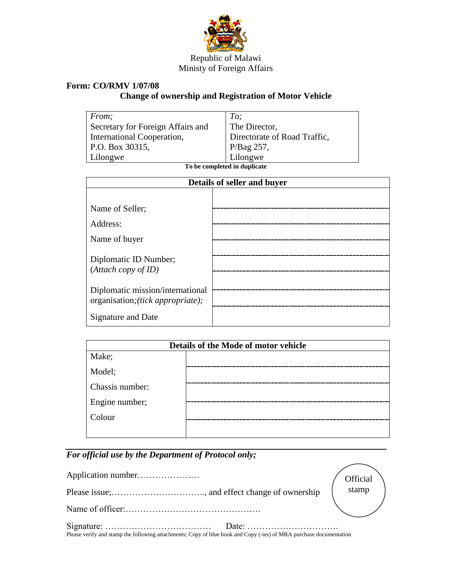

## Republic of Malawi Ministy of Foreign Affairs

## **Form: CO/RMV 1/07/08**

## **Change of ownership and Registration of Motor Vehicle**

| <i>From</i> ;                     | To;                          |
|-----------------------------------|------------------------------|
| Secretary for Foreign Affairs and | The Director,                |
| International Cooperation,        | Directorate of Road Traffic, |
| P.O. Box 30315,                   |                              |
| Lilongwe                          | $P/Bag$ 257,<br>Lilongwe     |

**To be completed in duplicate**

| Details of seller and buyer                                           |  |  |
|-----------------------------------------------------------------------|--|--|
|                                                                       |  |  |
| Name of Seller;                                                       |  |  |
| Address:                                                              |  |  |
| Name of buyer                                                         |  |  |
| Diplomatic ID Number;                                                 |  |  |
| (Attach copy of ID)                                                   |  |  |
| Diplomatic mission/international<br>organisation; (tick appropriate); |  |  |
| Signature and Date                                                    |  |  |

| Details of the Mode of motor vehicle |  |  |
|--------------------------------------|--|--|
| Make;                                |  |  |
| Model;                               |  |  |
| Chassis number:                      |  |  |
| Engine number;                       |  |  |
| Colour                               |  |  |
|                                      |  |  |

## *For official use by the Department of Protocol only;*

|                                                                                                                    | Official |
|--------------------------------------------------------------------------------------------------------------------|----------|
|                                                                                                                    | stamp    |
|                                                                                                                    |          |
| Please verify and stamp the following attachments; Copy of blue book and Copy (-ies) of MRA purchase documentation |          |